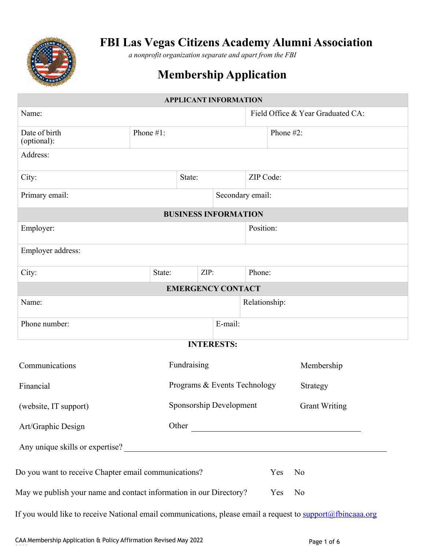

# **FBI Las Vegas Citizens Academy Alumni Association**

*a nonprofit organization separate and apart from the FBI*

# **Membership Application**

|                                                                                                                   |           | <b>APPLICANT INFORMATION</b> |                                       |               |     |                                   |
|-------------------------------------------------------------------------------------------------------------------|-----------|------------------------------|---------------------------------------|---------------|-----|-----------------------------------|
| Name:                                                                                                             |           |                              |                                       |               |     | Field Office & Year Graduated CA: |
| Date of birth<br>(optional):                                                                                      | Phone #1: |                              |                                       | Phone #2:     |     |                                   |
| Address:                                                                                                          |           |                              |                                       |               |     |                                   |
| City:                                                                                                             | State:    |                              |                                       | ZIP Code:     |     |                                   |
| Primary email:                                                                                                    |           |                              | Secondary email:                      |               |     |                                   |
|                                                                                                                   |           | <b>BUSINESS INFORMATION</b>  |                                       |               |     |                                   |
| Employer:                                                                                                         |           |                              |                                       | Position:     |     |                                   |
| Employer address:                                                                                                 |           |                              |                                       |               |     |                                   |
| City:                                                                                                             | State:    | ZIP:                         |                                       | Phone:        |     |                                   |
|                                                                                                                   |           | <b>EMERGENCY CONTACT</b>     |                                       |               |     |                                   |
| Name:                                                                                                             |           |                              |                                       | Relationship: |     |                                   |
| Phone number:                                                                                                     |           |                              | E-mail:                               |               |     |                                   |
|                                                                                                                   |           |                              | <b>INTERESTS:</b>                     |               |     |                                   |
| Fundraising<br>Communications                                                                                     |           |                              |                                       | Membership    |     |                                   |
| Programs & Events Technology<br>Financial<br>Strategy                                                             |           |                              |                                       |               |     |                                   |
| (website, IT support)                                                                                             |           |                              | Sponsorship Development Grant Writing |               |     |                                   |
| Art/Graphic Design                                                                                                |           |                              |                                       |               |     |                                   |
| Any unique skills or expertise?                                                                                   |           |                              |                                       |               |     |                                   |
| Do you want to receive Chapter email communications?                                                              |           |                              |                                       |               | Yes | N <sub>o</sub>                    |
| May we publish your name and contact information in our Directory?                                                |           |                              |                                       |               | Yes | No                                |
| If you would like to receive National email communications, please email a request to <b>support@fbincaaa.org</b> |           |                              |                                       |               |     |                                   |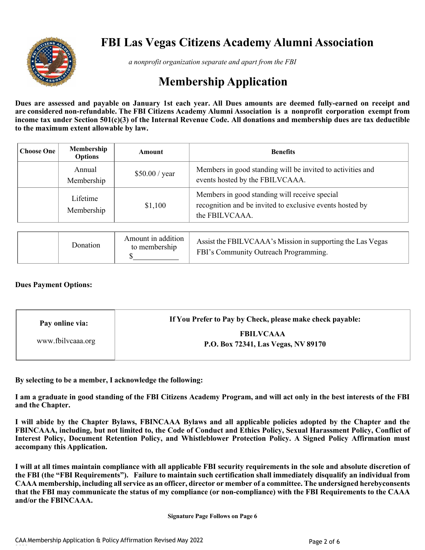

# **FBI Las Vegas Citizens Academy Alumni Association**

*a nonprofit organization separate and apart from the FBI*

# **Membership Application**

Dues are assessed and payable on January 1st each year. All Dues amounts are deemed fully-earned on receipt and **are considered non-refundable. The FBI Citizens Academy Alumni Association is a nonprofit corporation exempt from income tax under Section 501(c)(3) of the Internal Revenue Code. All donations and membership dues are tax deductible to the maximum extent allowable by law.**

| <b>Choose One</b> | Membership<br><b>Options</b> | Amount         | <b>Benefits</b>                                                                                                             |  |  |
|-------------------|------------------------------|----------------|-----------------------------------------------------------------------------------------------------------------------------|--|--|
|                   | Annual<br>Membership         | \$50.00 / year | Members in good standing will be invited to activities and<br>events hosted by the FBILVCAAA.                               |  |  |
|                   | Lifetime<br>Membership       | \$1,100        | Members in good standing will receive special<br>recognition and be invited to exclusive events hosted by<br>the FBILVCAAA. |  |  |

|  | Donation | Amount in addition<br>to membership | Assist the FBILVCAAA's Mission in supporting the Las Vegas<br>FBI's Community Outreach Programming. |
|--|----------|-------------------------------------|-----------------------------------------------------------------------------------------------------|
|--|----------|-------------------------------------|-----------------------------------------------------------------------------------------------------|

### **Dues Payment Options:**

| Pay online via:   | If You Prefer to Pay by Check, please make check payable: |
|-------------------|-----------------------------------------------------------|
| www.fbilvcaaa.org | <b>FBILVCAAA</b><br>P.O. Box 72341, Las Vegas, NV 89170   |

**By selecting to be a member, I acknowledge the following:**

**I am a graduate in good standing of the FBI Citizens Academy Program, and will act only in the best interests of the FBI and the Chapter.**

**I will abide by the Chapter Bylaws, FBINCAAA Bylaws and all applicable policies adopted by the Chapter and the FBINCAAA, including, but not limited to, the Code of Conduct and Ethics Policy, Sexual Harassment Policy, Conflict of Interest Policy, Document Retention Policy, and Whistleblower Protection Policy. A Signed Policy Affirmation must accompany this Application.**

**I will at all times maintain compliance with all applicable FBI security requirements in the sole and absolute discretion of the FBI (the "FBI Requirements"). Failure to maintain such certification shall immediately disqualify an individual from CAAA membership, including all service as an officer, director or member of a committee. The undersigned herebyconsents that the FBI may communicate the status of my compliance (or non-compliance) with the FBI Requirements to the CAAA and/or the FBINCAAA.**

**Signature Page Follows on Page 6**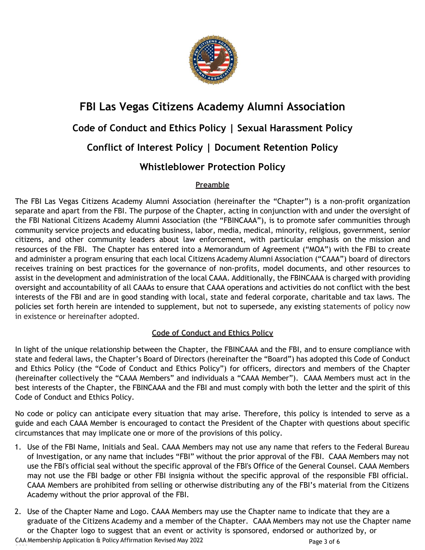

# **FBI Las Vegas Citizens Academy Alumni Association**

## **Code of Conduct and Ethics Policy | Sexual Harassment Policy**

# **Conflict of Interest Policy | Document Retention Policy**

# **Whistleblower Protection Policy**

## **Preamble**

The FBI Las Vegas Citizens Academy Alumni Association (hereinafter the "Chapter") is a non-profit organization separate and apart from the FBI. The purpose of the Chapter, acting in conjunction with and under the oversight of the FBI National Citizens Academy Alumni Association (the "FBINCAAA"), is to promote safer communities through community service projects and educating business, labor, media, medical, minority, religious, government, senior citizens, and other community leaders about law enforcement, with particular emphasis on the mission and resources of the FBI. The Chapter has entered into a Memorandum of Agreement ("MOA") with the FBI to create and administer a program ensuring that each local Citizens Academy Alumni Association ("CAAA") board of directors receives training on best practices for the governance of non-profits, model documents, and other resources to assist in the development and administration of the local CAAA. Additionally, the FBINCAAA is charged with providing oversight and accountability of all CAAAs to ensure that CAAA operations and activities do not conflict with the best interests of the FBI and are in good standing with local, state and federal corporate, charitable and tax laws. The policies set forth herein are intended to supplement, but not to supersede, any existing statements of policy now in existence or hereinafter adopted.

## **Code of Conduct and Ethics Policy**

In light of the unique relationship between the Chapter, the FBINCAAA and the FBI, and to ensure compliance with state and federal laws, the Chapter's Board of Directors (hereinafter the "Board") has adopted this Code of Conduct and Ethics Policy (the "Code of Conduct and Ethics Policy") for officers, directors and members of the Chapter (hereinafter collectively the "CAAA Members" and individuals a "CAAA Member"). CAAA Members must act in the best interests of the Chapter, the FBINCAAA and the FBI and must comply with both the letter and the spirit of this Code of Conduct and Ethics Policy.

No code or policy can anticipate every situation that may arise. Therefore, this policy is intended to serve as a guide and each CAAA Member is encouraged to contact the President of the Chapter with questions about specific circumstances that may implicate one or more of the provisions of this policy.

- 1. Use of the FBI Name, Initials and Seal. CAAA Members may not use any name that refers to the Federal Bureau of Investigation, or any name that includes "FBI" without the prior approval of the FBI. CAAA Members may not use the FBI's official seal without the specific approval of the FBI's Office of the General Counsel. CAAA Members may not use the FBI badge or other FBI insignia without the specific approval of the responsible FBI official. CAAA Members are prohibited from selling or otherwise distributing any of the FBI's material from the Citizens Academy without the prior approval of the FBI.
- CAA Membership Application & Policy Affirmation Revised May 2022 <sup>2022</sup> Page 3 of 6 2. Use of the Chapter Name and Logo. CAAA Members may use the Chapter name to indicate that they are a graduate of the Citizens Academy and a member of the Chapter. CAAA Members may not use the Chapter name or the Chapter logo to suggest that an event or activity is sponsored, endorsed or authorized by, or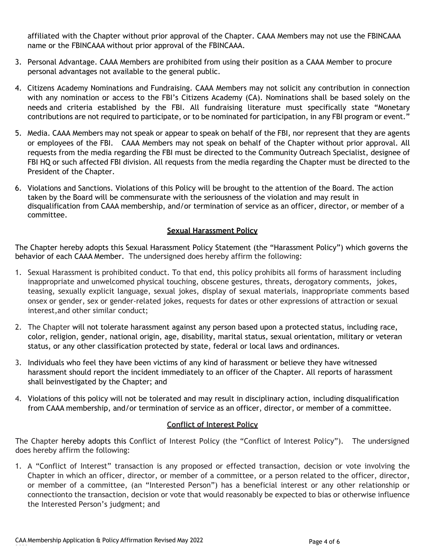affiliated with the Chapter without prior approval of the Chapter. CAAA Members may not use the FBINCAAA name or the FBINCAAA without prior approval of the FBINCAAA.

- 3. Personal Advantage. CAAA Members are prohibited from using their position as a CAAA Member to procure personal advantages not available to the general public.
- 4. Citizens Academy Nominations and Fundraising. CAAA Members may not solicit any contribution in connection with any nomination or access to the FBI's Citizens Academy (CA). Nominations shall be based solely on the needs and criteria established by the FBI. All fundraising literature must specifically state "Monetary contributions are not required to participate, or to be nominated for participation, in any FBI program or event."
- 5. Media. CAAA Members may not speak or appear to speak on behalf of the FBI, nor represent that they are agents or employees of the FBI. CAAA Members may not speak on behalf of the Chapter without prior approval. All requests from the media regarding the FBI must be directed to the Community Outreach Specialist, designee of FBI HQ or such affected FBI division. All requests from the media regarding the Chapter must be directed to the President of the Chapter.
- 6. Violations and Sanctions. Violations of this Policy will be brought to the attention of the Board. The action taken by the Board will be commensurate with the seriousness of the violation and may result in disqualification from CAAA membership, and/or termination of service as an officer, director, or member of a committee.

### **Sexual Harassment Policy**

The Chapter hereby adopts this Sexual Harassment Policy Statement (the "Harassment Policy") which governs the behavior of each CAAA Member. The undersigned does hereby affirm the following:

- 1. Sexual Harassment is prohibited conduct. To that end, this policy prohibits all forms of harassment including inappropriate and unwelcomed physical touching, obscene gestures, threats, derogatory comments, jokes, teasing, sexually explicit language, sexual jokes, display of sexual materials, inappropriate comments based onsex or gender, sex or gender-related jokes, requests for dates or other expressions of attraction or sexual interest,and other similar conduct;
- 2. The Chapter will not tolerate harassment against any person based upon a protected status, including race, color, religion, gender, national origin, age, disability, marital status, sexual orientation, military or veteran status, or any other classification protected by state, federal or local laws and ordinances.
- 3. Individuals who feel they have been victims of any kind of harassment or believe they have witnessed harassment should report the incident immediately to an officer of the Chapter. All reports of harassment shall beinvestigated by the Chapter; and
- 4. Violations of this policy will not be tolerated and may result in disciplinary action, including disqualification from CAAA membership, and/or termination of service as an officer, director, or member of a committee.

### **Conflict of Interest Policy**

The Chapter hereby adopts this Conflict of Interest Policy (the "Conflict of Interest Policy"). The undersigned does hereby affirm the following:

1. A "Conflict of Interest" transaction is any proposed or effected transaction, decision or vote involving the Chapter in which an officer, director, or member of a committee, or a person related to the officer, director, or member of a committee, (an "Interested Person") has a beneficial interest or any other relationship or connectionto the transaction, decision or vote that would reasonably be expected to bias or otherwise influence the Interested Person's judgment; and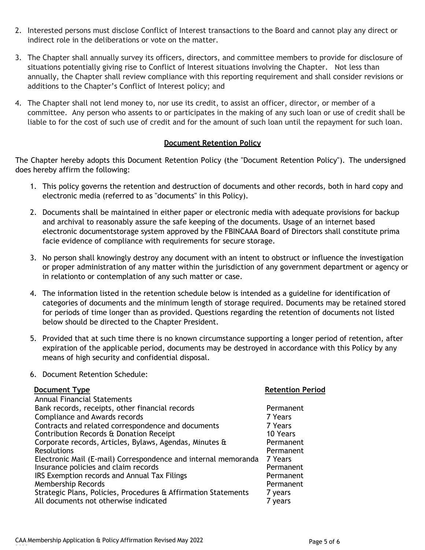- 2. Interested persons must disclose Conflict of Interest transactions to the Board and cannot play any direct or indirect role in the deliberations or vote on the matter.
- 3. The Chapter shall annually survey its officers, directors, and committee members to provide for disclosure of situations potentially giving rise to Conflict of Interest situations involving the Chapter. Not less than annually, the Chapter shall review compliance with this reporting requirement and shall consider revisions or additions to the Chapter's Conflict of Interest policy; and
- 4. The Chapter shall not lend money to, nor use its credit, to assist an officer, director, or member of a committee. Any person who assents to or participates in the making of any such loan or use of credit shall be liable to for the cost of such use of credit and for the amount of such loan until the repayment for such loan.

### **Document Retention Policy**

The Chapter hereby adopts this Document Retention Policy (the "Document Retention Policy"). The undersigned does hereby affirm the following:

- 1. This policy governs the retention and destruction of documents and other records, both in hard copy and electronic media (referred to as "documents" in this Policy).
- 2. Documents shall be maintained in either paper or electronic media with adequate provisions for backup and archival to reasonably assure the safe keeping of the documents. Usage of an internet based electronic documentstorage system approved by the FBINCAAA Board of Directors shall constitute prima facie evidence of compliance with requirements for secure storage.
- 3. No person shall knowingly destroy any document with an intent to obstruct or influence the investigation or proper administration of any matter within the jurisdiction of any government department or agency or in relationto or contemplation of any such matter or case.
- 4. The information listed in the retention schedule below is intended as a guideline for identification of categories of documents and the minimum length of storage required. Documents may be retained stored for periods of time longer than as provided. Questions regarding the retention of documents not listed below should be directed to the Chapter President.
- 5. Provided that at such time there is no known circumstance supporting a longer period of retention, after expiration of the applicable period, documents may be destroyed in accordance with this Policy by any means of high security and confidential disposal.
- 6. Document Retention Schedule:

| <b>Document Type</b>                                           | <b>Retention Period</b> |
|----------------------------------------------------------------|-------------------------|
| <b>Annual Financial Statements</b>                             |                         |
| Bank records, receipts, other financial records                | Permanent               |
| Compliance and Awards records                                  | 7 Years                 |
| Contracts and related correspondence and documents             | 7 Years                 |
| Contribution Records & Donation Receipt                        | 10 Years                |
| Corporate records, Articles, Bylaws, Agendas, Minutes &        | Permanent               |
| <b>Resolutions</b>                                             | Permanent               |
| Electronic Mail (E-mail) Correspondence and internal memoranda | 7 Years                 |
| Insurance policies and claim records                           | Permanent               |
| IRS Exemption records and Annual Tax Filings                   | Permanent               |
| Membership Records                                             | Permanent               |
| Strategic Plans, Policies, Procedures & Affirmation Statements | 7 years                 |
| All documents not otherwise indicated                          | 7 years                 |
|                                                                |                         |